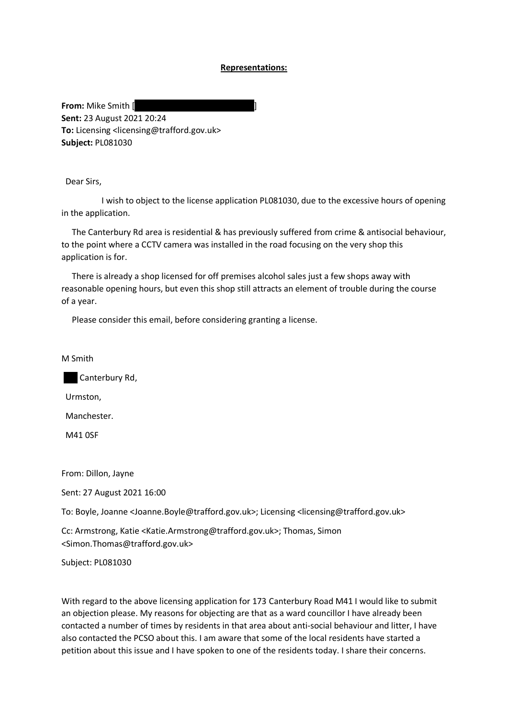## **Representations:**

**From:** Mike Smith [ **Sent:** 23 August 2021 20:24 **To:** Licensing <licensing@trafford.gov.uk> **Subject:** PL081030

Dear Sirs,

I wish to object to the license application PL081030, due to the excessive hours of opening in the application.

The Canterbury Rd area is residential & has previously suffered from crime & antisocial behaviour, to the point where a CCTV camera was installed in the road focusing on the very shop this application is for.

There is already a shop licensed for off premises alcohol sales just a few shops away with reasonable opening hours, but even this shop still attracts an element of trouble during the course of a year.

Please consider this email, before considering granting a license.

M Smith

Canterbury Rd,

Urmston,

Manchester.

M41 0SF

From: Dillon, Jayne

Sent: 27 August 2021 16:00

To: Boyle, Joanne <Joanne.Boyle@trafford.gov.uk>; Licensing <licensing@trafford.gov.uk>

Cc: Armstrong, Katie <Katie.Armstrong@trafford.gov.uk>; Thomas, Simon <Simon.Thomas@trafford.gov.uk>

Subject: PL081030

With regard to the above licensing application for 173 Canterbury Road M41 I would like to submit an objection please. My reasons for objecting are that as a ward councillor I have already been contacted a number of times by residents in that area about anti-social behaviour and litter, I have also contacted the PCSO about this. I am aware that some of the local residents have started a petition about this issue and I have spoken to one of the residents today. I share their concerns.